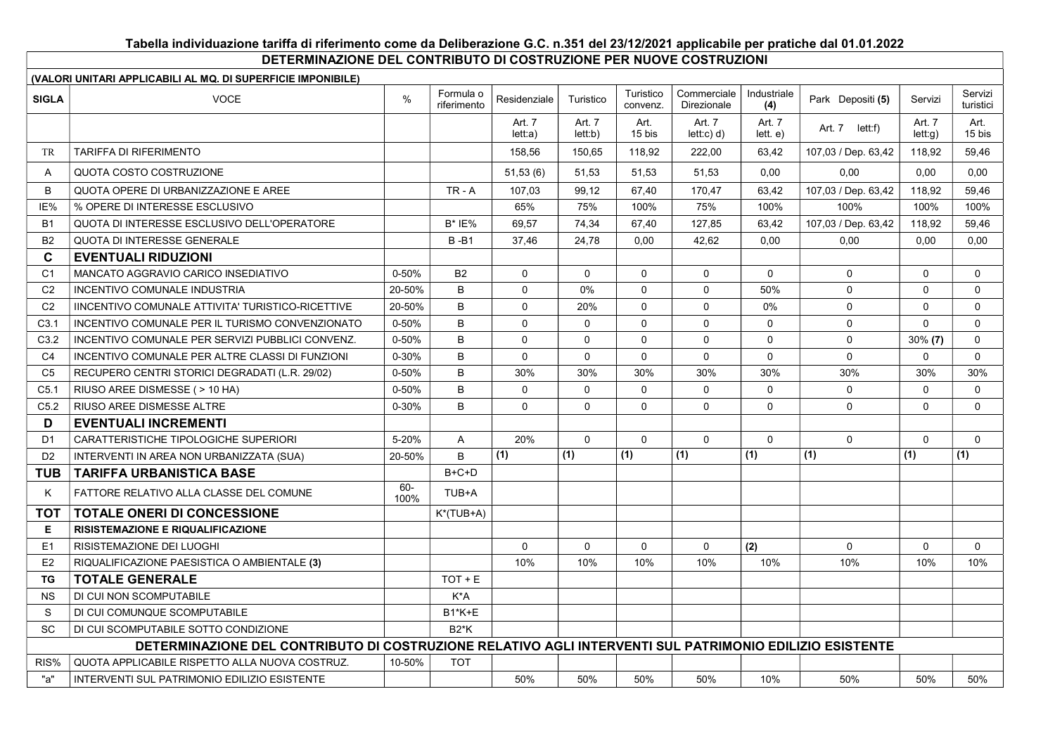## Tabella individuazione tariffa di riferimento come da Deliberazione G.C. n.351 del 23/12/2021 applicabile per pratiche dal 01.01.2022

DETERMINAZIONE DEL CONTRIBUTO DI COSTRUZIONE PER NUOVE COSTRUZIONI

| (VALORI UNITARI APPLICABILI AL MQ. DI SUPERFICIE IMPONIBILE) |                                                                                                         |             |                          |                   |                   |                       |                            |                    |                     |                  |                      |
|--------------------------------------------------------------|---------------------------------------------------------------------------------------------------------|-------------|--------------------------|-------------------|-------------------|-----------------------|----------------------------|--------------------|---------------------|------------------|----------------------|
| <b>SIGLA</b>                                                 | <b>VOCE</b>                                                                                             | %           | Formula o<br>riferimento | Residenziale      | Turistico         | Turistico<br>convenz. | Commerciale<br>Direzionale | Industriale<br>(4) | Park Depositi (5)   | Servizi          | Servizi<br>turistici |
|                                                              |                                                                                                         |             |                          | Art. 7<br>let: a) | Art. 7<br>let: b) | Art.<br>15 bis        | Art. 7<br>let: c) d)       | Art. 7<br>lett. e) | Art. 7 lett:f)      | Art. 7<br>let:q) | Art.<br>15 bis       |
| <b>TR</b>                                                    | <b>TARIFFA DI RIFERIMENTO</b>                                                                           |             |                          | 158.56            | 150.65            | 118.92                | 222.00                     | 63.42              | 107,03 / Dep. 63,42 | 118.92           | 59,46                |
| $\mathsf{A}$                                                 | QUOTA COSTO COSTRUZIONE                                                                                 |             |                          | 51,53(6)          | 51,53             | 51.53                 | 51.53                      | 0.00               | 0.00                | 0,00             | 0,00                 |
| B                                                            | QUOTA OPERE DI URBANIZZAZIONE E AREE                                                                    |             | $TR - A$                 | 107,03            | 99,12             | 67,40                 | 170,47                     | 63,42              | 107,03 / Dep. 63,42 | 118,92           | 59,46                |
| IE%                                                          | % OPERE DI INTERESSE ESCLUSIVO                                                                          |             |                          | 65%               | 75%               | 100%                  | 75%                        | 100%               | 100%                | 100%             | 100%                 |
| <b>B1</b>                                                    | QUOTA DI INTERESSE ESCLUSIVO DELL'OPERATORE                                                             |             | $B^*$ IE%                | 69.57             | 74,34             | 67,40                 | 127,85                     | 63,42              | 107,03 / Dep. 63,42 | 118,92           | 59,46                |
| <b>B2</b>                                                    | <b>QUOTA DI INTERESSE GENERALE</b>                                                                      |             | $B - B1$                 | 37.46             | 24,78             | 0.00                  | 42.62                      | 0.00               | 0.00                | 0.00             | 0.00                 |
| $\mathbf c$                                                  | <b>EVENTUALI RIDUZIONI</b>                                                                              |             |                          |                   |                   |                       |                            |                    |                     |                  |                      |
| C <sub>1</sub>                                               | MANCATO AGGRAVIO CARICO INSEDIATIVO                                                                     | 0-50%       | B <sub>2</sub>           | $\mathbf 0$       | $\mathbf 0$       | $\mathbf 0$           | $\mathbf 0$                | $\mathbf 0$        | $\mathbf 0$         | $\mathbf 0$      | $\mathbf 0$          |
| C <sub>2</sub>                                               | <b>INCENTIVO COMUNALE INDUSTRIA</b>                                                                     | 20-50%      | B                        | $\pmb{0}$         | 0%                | $\Omega$              | $\mathbf 0$                | 50%                | $\mathbf 0$         | $\Omega$         | $\mathbf 0$          |
| C <sub>2</sub>                                               | <b>IINCENTIVO COMUNALE ATTIVITA' TURISTICO-RICETTIVE</b>                                                | 20-50%      | B                        | $\Omega$          | 20%               | $\Omega$              | 0                          | 0%                 | $\mathbf 0$         | $\Omega$         | $\mathbf 0$          |
| C <sub>3.1</sub>                                             | INCENTIVO COMUNALE PER IL TURISMO CONVENZIONATO                                                         | $0 - 50%$   | B                        | $\Omega$          | $\Omega$          | $\Omega$              | $\Omega$                   | $\Omega$           | $\Omega$            | $\Omega$         | $\Omega$             |
| C3.2                                                         | INCENTIVO COMUNALE PER SERVIZI PUBBLICI CONVENZ.                                                        | 0-50%       | B                        | $\Omega$          | $\Omega$          | $\Omega$              | $\Omega$                   | $\Omega$           | $\Omega$            | 30% (7)          | $\Omega$             |
| C <sub>4</sub>                                               | INCENTIVO COMUNALE PER ALTRE CLASSI DI FUNZIONI                                                         | $0 - 30%$   | B                        | $\mathbf 0$       | $\mathbf 0$       | $\mathbf 0$           | $\mathbf 0$                | $\mathbf 0$        | $\mathbf 0$         | $\mathbf 0$      | $\mathbf 0$          |
| C <sub>5</sub>                                               | RECUPERO CENTRI STORICI DEGRADATI (L.R. 29/02)                                                          | 0-50%       | B                        | 30%               | 30%               | 30%                   | 30%                        | 30%                | 30%                 | 30%              | 30%                  |
| C <sub>5.1</sub>                                             | RIUSO AREE DISMESSE ( > 10 HA)                                                                          | 0-50%       | B                        | $\mathbf 0$       | $\mathbf 0$       | $\mathbf 0$           | $\mathbf 0$                | $\mathbf 0$        | $\mathbf 0$         | $\Omega$         | $\mathbf 0$          |
| C5.2                                                         | <b>RIUSO AREE DISMESSE ALTRE</b>                                                                        | $0 - 30%$   | B                        | $\Omega$          | $\mathbf 0$       | $\Omega$              | $\mathbf 0$                | $\mathbf 0$        | $\Omega$            | $\mathbf{0}$     | $\Omega$             |
| D                                                            | <b>EVENTUALI INCREMENTI</b>                                                                             |             |                          |                   |                   |                       |                            |                    |                     |                  |                      |
| D <sub>1</sub>                                               | CARATTERISTICHE TIPOLOGICHE SUPERIORI                                                                   | 5-20%       | Α                        | 20%               | $\mathbf 0$       | $\mathbf 0$           | $\mathbf 0$                | $\mathbf 0$        | $\Omega$            | $\mathbf 0$      | $\mathbf 0$          |
| D <sub>2</sub>                                               | INTERVENTI IN AREA NON URBANIZZATA (SUA)                                                                | 20-50%      | B                        | (1)               | (1)               | (1)                   | (1)                        | (1)                | (1)                 | (1)              | (1)                  |
| TUB                                                          | <b>TARIFFA URBANISTICA BASE</b>                                                                         |             | $B+C+D$                  |                   |                   |                       |                            |                    |                     |                  |                      |
| K.                                                           | FATTORE RELATIVO ALLA CLASSE DEL COMUNE                                                                 | 60-<br>100% | TUB+A                    |                   |                   |                       |                            |                    |                     |                  |                      |
| <b>TOT</b>                                                   | <b>TOTALE ONERI DI CONCESSIONE</b>                                                                      |             | $K^*(TUB+A)$             |                   |                   |                       |                            |                    |                     |                  |                      |
| E                                                            | <b>RISISTEMAZIONE E RIQUALIFICAZIONE</b>                                                                |             |                          |                   |                   |                       |                            |                    |                     |                  |                      |
| E <sub>1</sub>                                               | <b>RISISTEMAZIONE DEI LUOGHI</b>                                                                        |             |                          | $\Omega$          | $\mathbf 0$       | $\Omega$              | 0                          | (2)                | $\Omega$            | $\mathbf{0}$     | $\Omega$             |
| E2                                                           | RIQUALIFICAZIONE PAESISTICA O AMBIENTALE (3)                                                            |             |                          | 10%               | 10%               | 10%                   | 10%                        | 10%                | 10%                 | 10%              | 10%                  |
| TG                                                           | <b>TOTALE GENERALE</b>                                                                                  |             | $TOT + E$                |                   |                   |                       |                            |                    |                     |                  |                      |
| <b>NS</b>                                                    | DI CUI NON SCOMPUTABILE                                                                                 |             | K*A                      |                   |                   |                       |                            |                    |                     |                  |                      |
| S                                                            | DI CUI COMUNQUE SCOMPUTABILE                                                                            |             | <b>B1*K+E</b>            |                   |                   |                       |                            |                    |                     |                  |                      |
| <b>SC</b>                                                    | DI CUI SCOMPUTABILE SOTTO CONDIZIONE                                                                    |             | $B2*K$                   |                   |                   |                       |                            |                    |                     |                  |                      |
|                                                              | DETERMINAZIONE DEL CONTRIBUTO DI COSTRUZIONE RELATIVO AGLI INTERVENTI SUL PATRIMONIO EDILIZIO ESISTENTE |             |                          |                   |                   |                       |                            |                    |                     |                  |                      |
| RIS%                                                         | QUOTA APPLICABILE RISPETTO ALLA NUOVA COSTRUZ.                                                          | 10-50%      | <b>TOT</b>               |                   |                   |                       |                            |                    |                     |                  |                      |
| "a"                                                          | INTERVENTI SUL PATRIMONIO EDILIZIO ESISTENTE                                                            |             |                          | 50%               | 50%               | 50%                   | 50%                        | 10%                | 50%                 | 50%              | 50%                  |